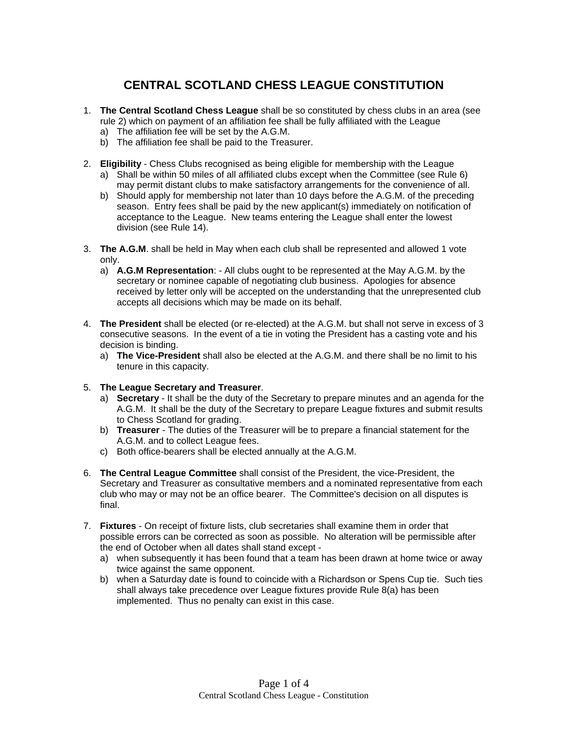# **CENTRAL SCOTLAND CHESS LEAGUE CONSTITUTION**

- 1. **The Central Scotland Chess League** shall be so constituted by chess clubs in an area (see rule 2) which on payment of an affiliation fee shall be fully affiliated with the League
	- a) The affiliation fee will be set by the A.G.M.
	- b) The affiliation fee shall be paid to the Treasurer.
- 2. **Eligibility** Chess Clubs recognised as being eligible for membership with the League
	- a) Shall be within 50 miles of all affiliated clubs except when the Committee (see Rule 6) may permit distant clubs to make satisfactory arrangements for the convenience of all.
	- b) Should apply for membership not later than 10 days before the A.G.M. of the preceding season. Entry fees shall be paid by the new applicant(s) immediately on notification of acceptance to the League. New teams entering the League shall enter the lowest division (see Rule 14).
- 3. **The A.G.M**. shall be held in May when each club shall be represented and allowed 1 vote only.
	- a) **A.G.M Representation**: All clubs ought to be represented at the May A.G.M. by the secretary or nominee capable of negotiating club business. Apologies for absence received by letter only will be accepted on the understanding that the unrepresented club accepts all decisions which may be made on its behalf.
- 4. **The President** shall be elected (or re-elected) at the A.G.M. but shall not serve in excess of 3 consecutive seasons. In the event of a tie in voting the President has a casting vote and his decision is binding.
	- a) **The Vice-President** shall also be elected at the A.G.M. and there shall be no limit to his tenure in this capacity.
- 5. **The League Secretary and Treasurer**.
	- a) **Secretary** It shall be the duty of the Secretary to prepare minutes and an agenda for the A.G.M. It shall be the duty of the Secretary to prepare League fixtures and submit results to Chess Scotland for grading.
	- b) **Treasurer** The duties of the Treasurer will be to prepare a financial statement for the A.G.M. and to collect League fees.
	- c) Both office-bearers shall be elected annually at the A.G.M.
- 6. **The Central League Committee** shall consist of the President, the vice-President, the Secretary and Treasurer as consultative members and a nominated representative from each club who may or may not be an office bearer. The Committee's decision on all disputes is final.
- 7. **Fixtures** On receipt of fixture lists, club secretaries shall examine them in order that possible errors can be corrected as soon as possible. No alteration will be permissible after the end of October when all dates shall stand except
	- a) when subsequently it has been found that a team has been drawn at home twice or away twice against the same opponent.
	- b) when a Saturday date is found to coincide with a Richardson or Spens Cup tie. Such ties shall always take precedence over League fixtures provide Rule 8(a) has been implemented. Thus no penalty can exist in this case.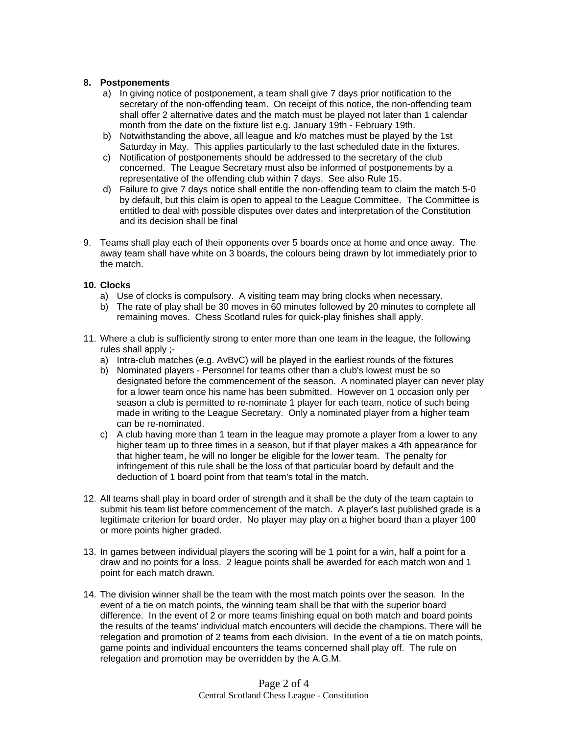### **8. Postponements**

- a) In giving notice of postponement, a team shall give 7 days prior notification to the secretary of the non-offending team. On receipt of this notice, the non-offending team shall offer 2 alternative dates and the match must be played not later than 1 calendar month from the date on the fixture list e.g. January 19th - February 19th.
- b) Notwithstanding the above, all league and k/o matches must be played by the 1st Saturday in May. This applies particularly to the last scheduled date in the fixtures.
- c) Notification of postponements should be addressed to the secretary of the club concerned. The League Secretary must also be informed of postponements by a representative of the offending club within 7 days. See also Rule 15.
- d) Failure to give 7 days notice shall entitle the non-offending team to claim the match 5-0 by default, but this claim is open to appeal to the League Committee. The Committee is entitled to deal with possible disputes over dates and interpretation of the Constitution and its decision shall be final
- 9. Teams shall play each of their opponents over 5 boards once at home and once away. The away team shall have white on 3 boards, the colours being drawn by lot immediately prior to the match.

### **10. Clocks**

- a) Use of clocks is compulsory. A visiting team may bring clocks when necessary.
- b) The rate of play shall be 30 moves in 60 minutes followed by 20 minutes to complete all remaining moves. Chess Scotland rules for quick-play finishes shall apply.
- 11. Where a club is sufficiently strong to enter more than one team in the league, the following rules shall apply ;
	- a) Intra-club matches (e.g. AvBvC) will be played in the earliest rounds of the fixtures
	- b) Nominated players Personnel for teams other than a club's lowest must be so designated before the commencement of the season. A nominated player can never play for a lower team once his name has been submitted. However on 1 occasion only per season a club is permitted to re-nominate 1 player for each team, notice of such being made in writing to the League Secretary. Only a nominated player from a higher team can be re-nominated.
	- c) A club having more than 1 team in the league may promote a player from a lower to any higher team up to three times in a season, but if that player makes a 4th appearance for that higher team, he will no longer be eligible for the lower team. The penalty for infringement of this rule shall be the loss of that particular board by default and the deduction of 1 board point from that team's total in the match.
- 12. All teams shall play in board order of strength and it shall be the duty of the team captain to submit his team list before commencement of the match. A player's last published grade is a legitimate criterion for board order. No player may play on a higher board than a player 100 or more points higher graded.
- 13. In games between individual players the scoring will be 1 point for a win, half a point for a draw and no points for a loss. 2 league points shall be awarded for each match won and 1 point for each match drawn.
- 14. The division winner shall be the team with the most match points over the season. In the event of a tie on match points, the winning team shall be that with the superior board difference. In the event of 2 or more teams finishing equal on both match and board points the results of the teams' individual match encounters will decide the champions. There will be relegation and promotion of 2 teams from each division. In the event of a tie on match points, game points and individual encounters the teams concerned shall play off. The rule on relegation and promotion may be overridden by the A.G.M.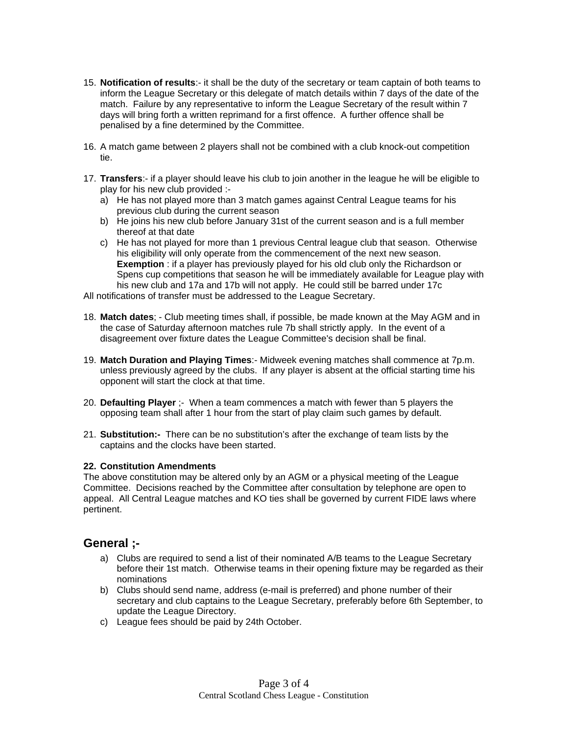- 15. **Notification of results**:- it shall be the duty of the secretary or team captain of both teams to inform the League Secretary or this delegate of match details within 7 days of the date of the match. Failure by any representative to inform the League Secretary of the result within 7 days will bring forth a written reprimand for a first offence. A further offence shall be penalised by a fine determined by the Committee.
- 16. A match game between 2 players shall not be combined with a club knock-out competition tie.
- 17. **Transfers**:- if a player should leave his club to join another in the league he will be eligible to play for his new club provided :
	- a) He has not played more than 3 match games against Central League teams for his previous club during the current season
	- b) He joins his new club before January 31st of the current season and is a full member thereof at that date
	- c) He has not played for more than 1 previous Central league club that season. Otherwise his eligibility will only operate from the commencement of the next new season. **Exemption** : if a player has previously played for his old club only the Richardson or Spens cup competitions that season he will be immediately available for League play with his new club and 17a and 17b will not apply. He could still be barred under 17c

All notifications of transfer must be addressed to the League Secretary.

- 18. **Match dates**; Club meeting times shall, if possible, be made known at the May AGM and in the case of Saturday afternoon matches rule 7b shall strictly apply. In the event of a disagreement over fixture dates the League Committee's decision shall be final.
- 19. **Match Duration and Playing Times**:- Midweek evening matches shall commence at 7p.m. unless previously agreed by the clubs. If any player is absent at the official starting time his opponent will start the clock at that time.
- 20. **Defaulting Player** ;- When a team commences a match with fewer than 5 players the opposing team shall after 1 hour from the start of play claim such games by default.
- 21. **Substitution:-** There can be no substitution's after the exchange of team lists by the captains and the clocks have been started.

### **22. Constitution Amendments**

The above constitution may be altered only by an AGM or a physical meeting of the League Committee. Decisions reached by the Committee after consultation by telephone are open to appeal. All Central League matches and KO ties shall be governed by current FIDE laws where pertinent.

### **General ;-**

- a) Clubs are required to send a list of their nominated A/B teams to the League Secretary before their 1st match. Otherwise teams in their opening fixture may be regarded as their nominations
- b) Clubs should send name, address (e-mail is preferred) and phone number of their secretary and club captains to the League Secretary, preferably before 6th September, to update the League Directory.
- c) League fees should be paid by 24th October.